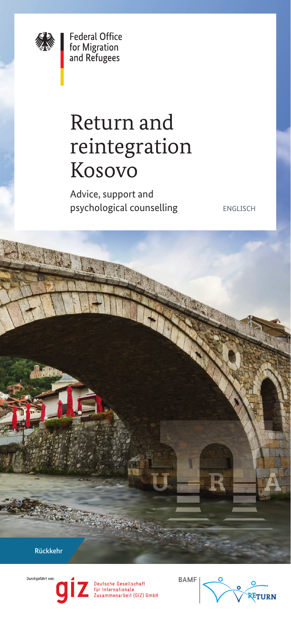

**Federal Office** for Migration<br>and Refugees

# Return and reintegration Kosovo

Advice, support and psychological counselling ENGLISCH

Rückkehr

Durchaeführt vor



utsche Gesellschaft<br>Internationale<br>sammenarbeit (GIZ) GmbH

**BAMF**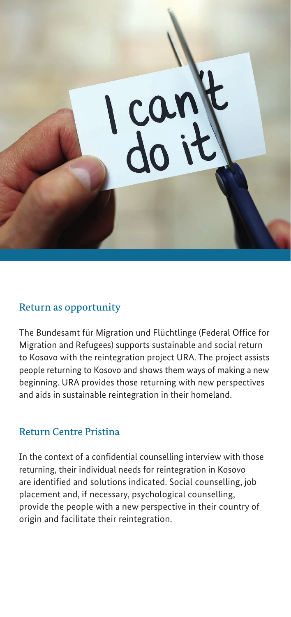

## Return as opportunity

The Bundesamt für Migration und Flüchtlinge (Federal Office for Migration and Refugees) supports sustainable and social return to Kosovo with the reintegration project URA. The project assists people returning to Kosovo and shows them ways of making a new beginning. URA provides those returning with new perspectives and aids in sustainable reintegration in their homeland.

### Return Centre Pristina

In the context of a confidential counselling interview with those returning, their individual needs for reintegration in Kosovo are identified and solutions indicated. Social counselling, job placement and, if necessary, psychological counselling, provide the people with a new perspective in their country of origin and facilitate their reintegration.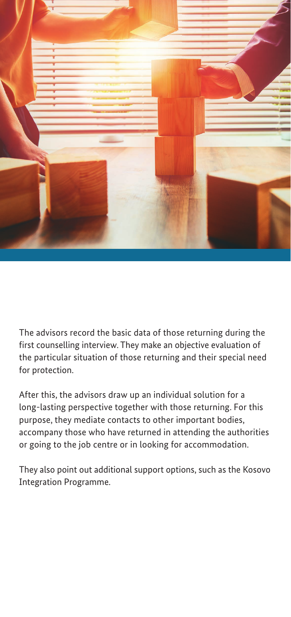

The advisors record the basic data of those returning during the first counselling interview. They make an objective evaluation of the particular situation of those returning and their special need for protection.

After this, the advisors draw up an individual solution for a long-lasting perspective together with those returning. For this purpose, they mediate contacts to other important bodies, accompany those who have returned in attending the authorities or going to the job centre or in looking for accommodation.

They also point out additional support options, such as the Kosovo Integration Programme.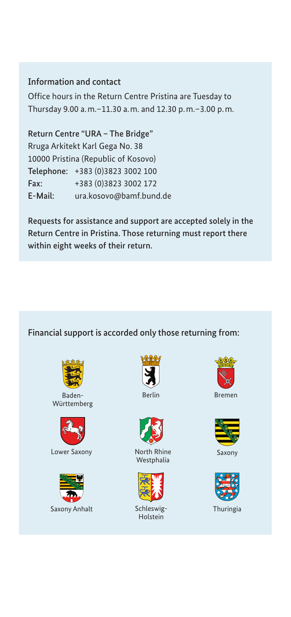#### Information and contact

Office hours in the Return Centre Pristina are Tuesday to Thursday 9.00 a.m.–11.30 a.m. and 12.30 p.m.–3.00 p.m.

Return Centre "URA – The Bridge" Rruga Arkitekt Karl Gega No. 38 10000 Pristina (Republic of Kosovo) Telephone: +383 (0)3823 3002 100 Fax: +383 (0)3823 3002 172 E-Mail: [ura.kosovo@bamf.bund.de](mailto:ura.kosovo@bamf.bund.de)

Requests for assistance and support are accepted solely in the Return Centre in Pristina. Those returning must report there within eight weeks of their return.

#### Financial support is accorded only those returning from:



Württemberg



Lower Saxony **Saxony** North Rhine Saxony







North Rhine Westphalia



Schleswig-**Holstein** 



Berlin Bremen



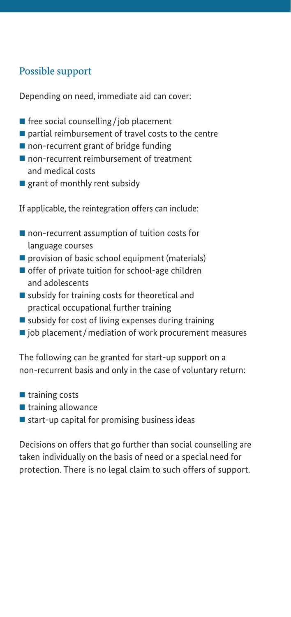## Possible support

Depending on need, immediate aid can cover:

- $\blacksquare$  free social counselling/job placement
- $\blacksquare$  partial reimbursement of travel costs to the centre
- non-recurrent grant of bridge funding
- non-recurrent reimbursement of treatment and medical costs
- $\blacksquare$  grant of monthly rent subsidy
- If applicable, the reintegration offers can include:
- non-recurrent assumption of tuition costs for language courses
- $\blacksquare$  provision of basic school equipment (materials)
- offer of private tuition for school-age children and adolescents
- $\blacksquare$  subsidy for training costs for theoretical and practical occupational further training
- $\blacksquare$  subsidy for cost of living expenses during training
- $\blacksquare$  job placement/mediation of work procurement measures

The following can be granted for start-up support on a non-recurrent basis and only in the case of voluntary return:

- $\blacksquare$  training costs
- $\blacksquare$  training allowance
- $\blacksquare$  start-up capital for promising business ideas

Decisions on offers that go further than social counselling are taken individually on the basis of need or a special need for protection. There is no legal claim to such offers of support.